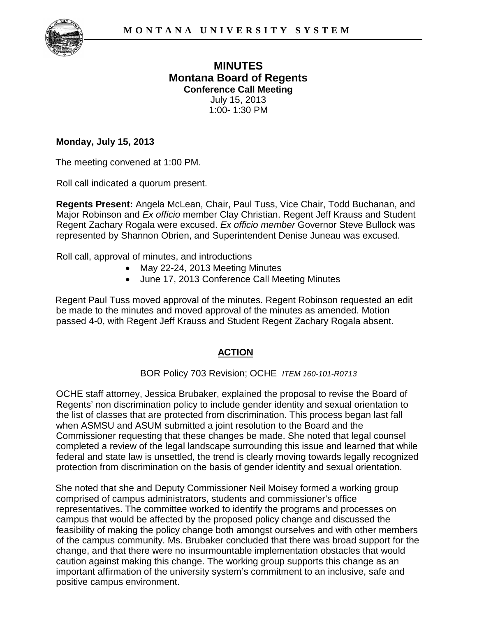

### **MINUTES Montana Board of Regents Conference Call Meeting** July 15, 2013 1:00- 1:30 PM

#### **Monday, July 15, 2013**

The meeting convened at 1:00 PM.

Roll call indicated a quorum present.

**Regents Present:** Angela McLean, Chair, Paul Tuss, Vice Chair, Todd Buchanan, and Major Robinson and *Ex officio* member Clay Christian. Regent Jeff Krauss and Student Regent Zachary Rogala were excused. *Ex officio member* Governor Steve Bullock was represented by Shannon Obrien, and Superintendent Denise Juneau was excused.

Roll call, approval of minutes, and introductions

- May 22-24, 2013 Meeting Minutes
- June 17, 2013 Conference Call Meeting Minutes

Regent Paul Tuss moved approval of the minutes. Regent Robinson requested an edit be made to the minutes and moved approval of the minutes as amended. Motion passed 4-0, with Regent Jeff Krauss and Student Regent Zachary Rogala absent.

# **ACTION**

BOR Policy 703 Revision; OCHE *ITEM 160-101-R0713* 

OCHE staff attorney, Jessica Brubaker, explained the proposal to revise the Board of Regents' non discrimination policy to include gender identity and sexual orientation to the list of classes that are protected from discrimination. This process began last fall when ASMSU and ASUM submitted a joint resolution to the Board and the Commissioner requesting that these changes be made. She noted that legal counsel completed a review of the legal landscape surrounding this issue and learned that while federal and state law is unsettled, the trend is clearly moving towards legally recognized protection from discrimination on the basis of gender identity and sexual orientation.

She noted that she and Deputy Commissioner Neil Moisey formed a working group comprised of campus administrators, students and commissioner's office representatives. The committee worked to identify the programs and processes on campus that would be affected by the proposed policy change and discussed the feasibility of making the policy change both amongst ourselves and with other members of the campus community. Ms. Brubaker concluded that there was broad support for the change, and that there were no insurmountable implementation obstacles that would caution against making this change. The working group supports this change as an important affirmation of the university system's commitment to an inclusive, safe and positive campus environment.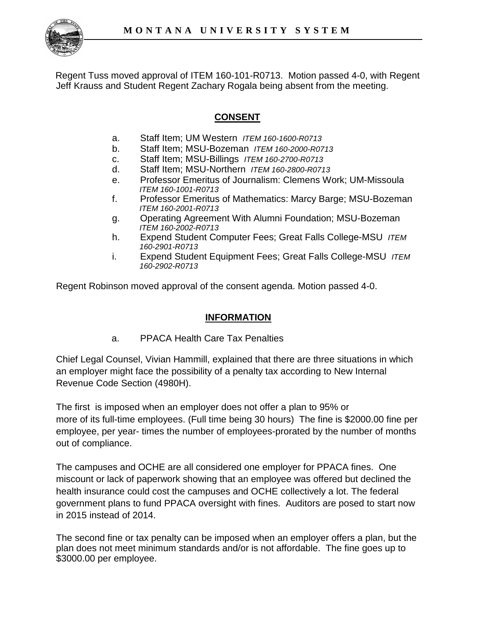

Regent Tuss moved approval of ITEM 160-101-R0713. Motion passed 4-0, with Regent Jeff Krauss and Student Regent Zachary Rogala being absent from the meeting.

# **CONSENT**

- a. Staff Item; UM Western *ITEM 160-1600-R0713*
- b. Staff Item; MSU-Bozeman *ITEM 160-2000-R0713*
- c. Staff Item; MSU-Billings *ITEM 160-2700-R0713*
- d. Staff Item; MSU-Northern *ITEM 160-2800-R0713*
- e. Professor Emeritus of Journalism: Clemens Work; UM-Missoula *ITEM 160-1001-R0713*
- f. Professor Emeritus of Mathematics: Marcy Barge; MSU-Bozeman *ITEM 160-2001-R0713*
- g. Operating Agreement With Alumni Foundation; MSU-Bozeman *ITEM 160-2002-R0713*
- h. Expend Student Computer Fees; Great Falls College-MSU *ITEM 160-2901-R0713*
- i. Expend Student Equipment Fees; Great Falls College-MSU *ITEM 160-2902-R0713*

Regent Robinson moved approval of the consent agenda. Motion passed 4-0.

### **INFORMATION**

a. PPACA Health Care Tax Penalties

Chief Legal Counsel, Vivian Hammill, explained that there are three situations in which an employer might face the possibility of a penalty tax according to New Internal Revenue Code Section (4980H).

The first is imposed when an employer does not offer a plan to 95% or more of its full-time employees. (Full time being 30 hours) The fine is \$2000.00 fine per employee, per year- times the number of employees-prorated by the number of months out of compliance.

The campuses and OCHE are all considered one employer for PPACA fines. One miscount or lack of paperwork showing that an employee was offered but declined the health insurance could cost the campuses and OCHE collectively a lot. The federal government plans to fund PPACA oversight with fines. Auditors are posed to start now in 2015 instead of 2014.

The second fine or tax penalty can be imposed when an employer offers a plan, but the plan does not meet minimum standards and/or is not affordable. The fine goes up to \$3000.00 per employee.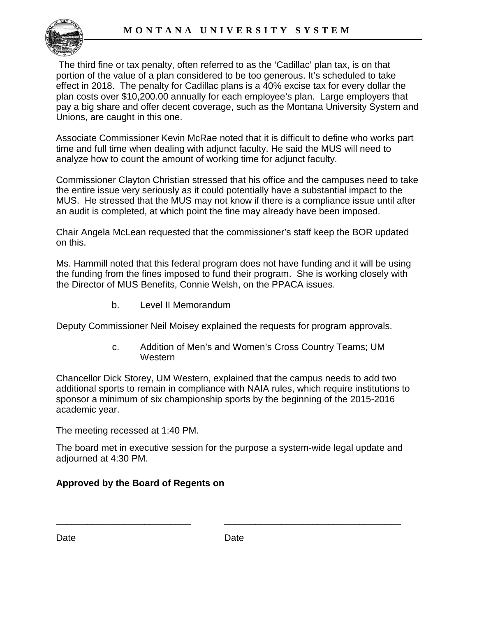The third fine or tax penalty, often referred to as the 'Cadillac' plan tax, is on that portion of the value of a plan considered to be too generous. It's scheduled to take effect in 2018. The penalty for Cadillac plans is a 40% excise tax for every dollar the plan costs over \$10,200.00 annually for each employee's plan. Large employers that pay a big share and offer decent coverage, such as the Montana University System and Unions, are caught in this one.

Associate Commissioner Kevin McRae noted that it is difficult to define who works part time and full time when dealing with adjunct faculty. He said the MUS will need to analyze how to count the amount of working time for adjunct faculty.

Commissioner Clayton Christian stressed that his office and the campuses need to take the entire issue very seriously as it could potentially have a substantial impact to the MUS. He stressed that the MUS may not know if there is a compliance issue until after an audit is completed, at which point the fine may already have been imposed.

Chair Angela McLean requested that the commissioner's staff keep the BOR updated on this.

Ms. Hammill noted that this federal program does not have funding and it will be using the funding from the fines imposed to fund their program. She is working closely with the Director of MUS Benefits, Connie Welsh, on the PPACA issues.

b. Level II Memorandum

Deputy Commissioner Neil Moisey explained the requests for program approvals.

c. Addition of Men's and Women's Cross Country Teams; UM **Western** 

Chancellor Dick Storey, UM Western, explained that the campus needs to add two additional sports to remain in compliance with NAIA rules, which require institutions to sponsor a minimum of six championship sports by the beginning of the 2015-2016 academic year.

The meeting recessed at 1:40 PM.

The board met in executive session for the purpose a system-wide legal update and adjourned at 4:30 PM.

### **Approved by the Board of Regents on**

Date **Date** Date

\_\_\_\_\_\_\_\_\_\_\_\_\_\_\_\_\_\_\_\_\_\_\_\_\_\_ \_\_\_\_\_\_\_\_\_\_\_\_\_\_\_\_\_\_\_\_\_\_\_\_\_\_\_\_\_\_\_\_\_\_